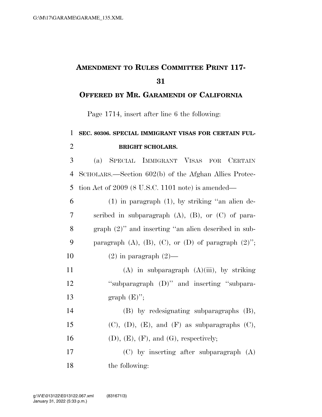## **AMENDMENT TO RULES COMMITTEE PRINT 117-**

## **OFFERED BY MR. GARAMENDI OF CALIFORNIA**

Page 1714, insert after line 6 the following:

## **SEC. 80306. SPECIAL IMMIGRANT VISAS FOR CERTAIN FUL-BRIGHT SCHOLARS.**

 (a) SPECIAL IMMIGRANT VISAS FOR CERTAIN SCHOLARS.—Section 602(b) of the Afghan Allies Protec-tion Act of 2009 (8 U.S.C. 1101 note) is amended—

| 6  | $(1)$ in paragraph $(1)$ , by striking "an alien de-             |
|----|------------------------------------------------------------------|
| 7  | scribed in subparagraph $(A)$ , $(B)$ , or $(C)$ of para-        |
| 8  | graph $(2)$ " and inserting "an alien described in sub-          |
| 9  | paragraph $(A)$ , $(B)$ , $(C)$ , or $(D)$ of paragraph $(2)$ "; |
| 10 | $(2)$ in paragraph $(2)$ —                                       |
| 11 | $(A)$ in subparagraph $(A)(iii)$ , by striking                   |
| 12 | "subparagraph (D)" and inserting "subpara-                       |
| 13 | graph $(E)$ ";                                                   |
| 14 | $(B)$ by redesignating subparagraphs $(B)$ ,                     |
| 15 | $(C)$ , $(D)$ , $(E)$ , and $(F)$ as subparagraphs $(C)$ ,       |
| 16 | (D), (E), (F), and (G), respectively;                            |
| 17 | $(C)$ by inserting after subparagraph $(A)$                      |
| 18 | the following:                                                   |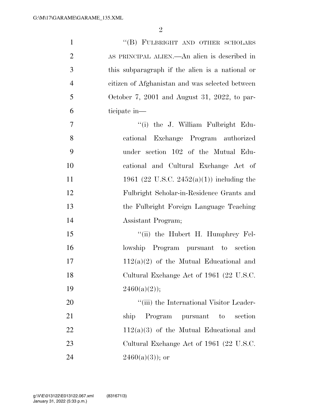| $\mathbf{1}$   | "(B) FULBRIGHT AND OTHER SCHOLARS                   |
|----------------|-----------------------------------------------------|
| $\overline{2}$ | AS PRINCIPAL ALIEN.—An alien is described in        |
| 3              | this subparagraph if the alien is a national or     |
| $\overline{4}$ | citizen of Afghanistan and was selected between     |
| 5              | October 7, 2001 and August 31, 2022, to par-        |
| 6              | ticipate in—                                        |
| $\tau$         | "(i) the J. William Fulbright Edu-                  |
| 8              | cational Exchange Program authorized                |
| 9              | under section 102 of the Mutual Edu-                |
| 10             | cational and Cultural Exchange Act of               |
| 11             | 1961 (22 U.S.C. 2452(a)(1)) including the           |
| 12             | Fulbright Scholar-in-Residence Grants and           |
| 13             | the Fulbright Foreign Language Teaching             |
| 14             | Assistant Program;                                  |
| 15             | "(ii) the Hubert H. Humphrey Fel-                   |
| 16             | lowship Program pursuant to section                 |
| 17             | $112(a)(2)$ of the Mutual Educational and           |
| 18             | Cultural Exchange Act of 1961 (22 U.S.C.            |
| 19             | $2460(a)(2)$ ;                                      |
| 20             | "(iii) the International Visitor Leader-            |
| 21             | Program<br>section<br>ship<br>pursuant<br>$\rm{to}$ |
| 22             | $112(a)(3)$ of the Mutual Educational and           |
| 23             | Cultural Exchange Act of 1961 (22 U.S.C.            |
| 24             | $2460(a)(3)$ ; or                                   |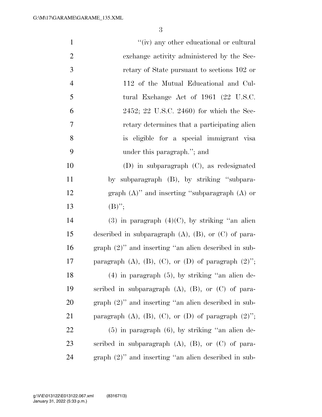| $\mathbf{1}$   | "(iv) any other educational or cultural                          |
|----------------|------------------------------------------------------------------|
| $\overline{2}$ | exchange activity administered by the Sec-                       |
| 3              | retary of State pursuant to sections 102 or                      |
| $\overline{4}$ | 112 of the Mutual Educational and Cul-                           |
| 5              | tural Exchange Act of 1961 (22 U.S.C.                            |
| 6              | 2452; 22 U.S.C. 2460) for which the Sec-                         |
| $\overline{7}$ | retary determines that a participating alien                     |
| 8              | is eligible for a special immigrant visa                         |
| 9              | under this paragraph."; and                                      |
| 10             | $(D)$ in subparagraph $(C)$ , as redesignated                    |
| 11             | by subparagraph (B), by striking "subpara-                       |
| 12             | graph $(A)$ " and inserting "subparagraph $(A)$ or               |
| 13             | $(B)$ ";                                                         |
| 14             | $(3)$ in paragraph $(4)(C)$ , by striking "an alien              |
| 15             | described in subparagraph $(A)$ , $(B)$ , or $(C)$ of para-      |
| 16             | graph $(2)$ " and inserting "an alien described in sub-          |
| 17             | paragraph $(A)$ , $(B)$ , $(C)$ , or $(D)$ of paragraph $(2)$ "; |
| 18             | $(4)$ in paragraph $(5)$ , by striking "an alien de-             |
| 19             | scribed in subparagraph $(A)$ , $(B)$ , or $(C)$ of para-        |
| 20             | graph $(2)$ " and inserting "an alien described in sub-          |
| 21             | paragraph $(A)$ , $(B)$ , $(C)$ , or $(D)$ of paragraph $(2)$ "; |
| 22             | $(5)$ in paragraph $(6)$ , by striking "an alien de-             |
| 23             | scribed in subparagraph $(A)$ , $(B)$ , or $(C)$ of para-        |
| 24             | $graph (2)$ " and inserting "an alien described in sub-          |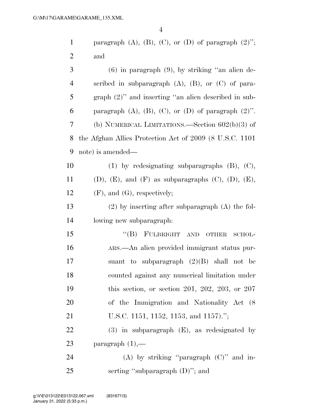| $\mathbf{1}$   | paragraph $(A)$ , $(B)$ , $(C)$ , or $(D)$ of paragraph $(2)$ ";   |
|----------------|--------------------------------------------------------------------|
| $\overline{2}$ | and                                                                |
| 3              | $(6)$ in paragraph $(9)$ , by striking "an alien de-               |
| $\overline{4}$ | scribed in subparagraph $(A)$ , $(B)$ , or $(C)$ of para-          |
| 5              | graph $(2)$ " and inserting "an alien described in sub-            |
| 6              | paragraph $(A)$ , $(B)$ , $(C)$ , or $(D)$ of paragraph $(2)$ ".   |
| 7              | (b) NUMERICAL LIMITATIONS.—Section $602(b)(3)$ of                  |
| 8              | the Afghan Allies Protection Act of 2009 (8 U.S.C. 1101)           |
| 9              | note) is amended—                                                  |
| 10             | $(1)$ by redesignating subparagraphs $(B)$ , $(C)$ ,               |
| 11             | $(D)$ , $(E)$ , and $(F)$ as subparagraphs $(C)$ , $(D)$ , $(E)$ , |
| 12             | $(F)$ , and $(G)$ , respectively;                                  |
| 13             | $(2)$ by inserting after subparagraph $(A)$ the fol-               |
| 14             | lowing new subparagraph:                                           |
| 15             | "(B) FULBRIGHT AND OTHER<br>SCHOL-                                 |
| 16             | ARS.—An alien provided immigrant status pur-                       |
| 17             | suant to subparagraph $(2)(B)$ shall not be                        |
| 18             | counted against any numerical limitation under                     |
| 19             | this section, or section 201, 202, 203, or $207$                   |
| 20             | of the Immigration and Nationality Act (8)                         |
| 21             | U.S.C. 1151, 1152, 1153, and 1157).";                              |
| 22             | $(3)$ in subparagraph $(E)$ , as redesignated by                   |
| 23             | paragraph $(1)$ ,—                                                 |
| 24             | (A) by striking "paragraph $(C)$ " and in-                         |
| 25             | serting "subparagraph $(D)$ "; and                                 |